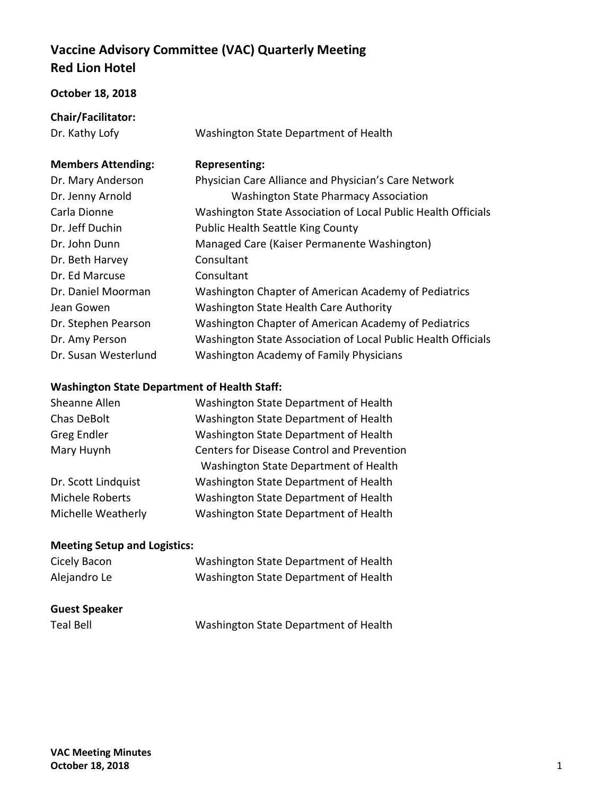# **Vaccine Advisory Committee (VAC) Quarterly Meeting Red Lion Hotel**

#### **October 18, 2018**

**Chair/Facilitator:**

Dr. Kathy Lofy **Washington State Department of Health** 

## **Members Attending: Representing:**

| Dr. Mary Anderson    | Physician Care Alliance and Physician's Care Network          |
|----------------------|---------------------------------------------------------------|
| Dr. Jenny Arnold     | <b>Washington State Pharmacy Association</b>                  |
| Carla Dionne         | Washington State Association of Local Public Health Officials |
| Dr. Jeff Duchin      | <b>Public Health Seattle King County</b>                      |
| Dr. John Dunn        | Managed Care (Kaiser Permanente Washington)                   |
| Dr. Beth Harvey      | Consultant                                                    |
| Dr. Ed Marcuse       | Consultant                                                    |
| Dr. Daniel Moorman   | Washington Chapter of American Academy of Pediatrics          |
| Jean Gowen           | Washington State Health Care Authority                        |
| Dr. Stephen Pearson  | Washington Chapter of American Academy of Pediatrics          |
| Dr. Amy Person       | Washington State Association of Local Public Health Officials |
| Dr. Susan Westerlund | <b>Washington Academy of Family Physicians</b>                |

### **Washington State Department of Health Staff:**

| Washington State Department of Health             |
|---------------------------------------------------|
| Washington State Department of Health             |
| Washington State Department of Health             |
| <b>Centers for Disease Control and Prevention</b> |
| Washington State Department of Health             |
| Washington State Department of Health             |
| Washington State Department of Health             |
| Washington State Department of Health             |
|                                                   |

### **Meeting Setup and Logistics:**

| Cicely Bacon         | Washington State Department of Health |
|----------------------|---------------------------------------|
| Alejandro Le         | Washington State Department of Health |
|                      |                                       |
| <b>Guest Speaker</b> |                                       |
| <b>Teal Bell</b>     | Washington State Department of Health |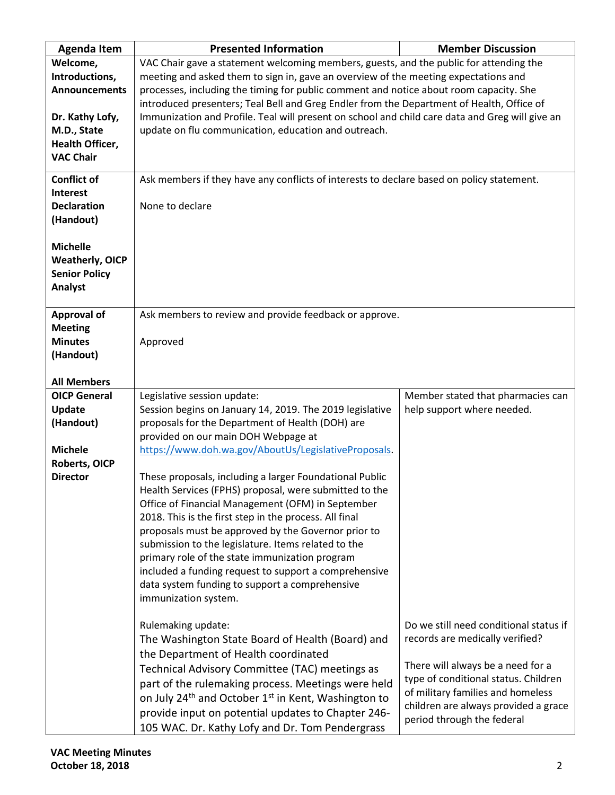| <b>Agenda Item</b>     | <b>Presented Information</b>                                                                    | <b>Member Discussion</b>               |  |
|------------------------|-------------------------------------------------------------------------------------------------|----------------------------------------|--|
| Welcome,               | VAC Chair gave a statement welcoming members, guests, and the public for attending the          |                                        |  |
| Introductions,         | meeting and asked them to sign in, gave an overview of the meeting expectations and             |                                        |  |
| <b>Announcements</b>   | processes, including the timing for public comment and notice about room capacity. She          |                                        |  |
|                        | introduced presenters; Teal Bell and Greg Endler from the Department of Health, Office of       |                                        |  |
| Dr. Kathy Lofy,        | Immunization and Profile. Teal will present on school and child care data and Greg will give an |                                        |  |
| M.D., State            | update on flu communication, education and outreach.                                            |                                        |  |
| Health Officer,        |                                                                                                 |                                        |  |
| <b>VAC Chair</b>       |                                                                                                 |                                        |  |
|                        |                                                                                                 |                                        |  |
| <b>Conflict of</b>     | Ask members if they have any conflicts of interests to declare based on policy statement.       |                                        |  |
| <b>Interest</b>        |                                                                                                 |                                        |  |
| <b>Declaration</b>     | None to declare                                                                                 |                                        |  |
| (Handout)              |                                                                                                 |                                        |  |
|                        |                                                                                                 |                                        |  |
| <b>Michelle</b>        |                                                                                                 |                                        |  |
| <b>Weatherly, OICP</b> |                                                                                                 |                                        |  |
| <b>Senior Policy</b>   |                                                                                                 |                                        |  |
| <b>Analyst</b>         |                                                                                                 |                                        |  |
|                        |                                                                                                 |                                        |  |
| <b>Approval of</b>     | Ask members to review and provide feedback or approve.                                          |                                        |  |
| <b>Meeting</b>         |                                                                                                 |                                        |  |
| <b>Minutes</b>         | Approved                                                                                        |                                        |  |
| (Handout)              |                                                                                                 |                                        |  |
|                        |                                                                                                 |                                        |  |
| <b>All Members</b>     |                                                                                                 |                                        |  |
| <b>OICP General</b>    | Legislative session update:                                                                     | Member stated that pharmacies can      |  |
| <b>Update</b>          | Session begins on January 14, 2019. The 2019 legislative                                        | help support where needed.             |  |
| (Handout)              | proposals for the Department of Health (DOH) are                                                |                                        |  |
|                        | provided on our main DOH Webpage at                                                             |                                        |  |
| <b>Michele</b>         | https://www.doh.wa.gov/AboutUs/LegislativeProposals.                                            |                                        |  |
| <b>Roberts, OICP</b>   |                                                                                                 |                                        |  |
| <b>Director</b>        | These proposals, including a larger Foundational Public                                         |                                        |  |
|                        | Health Services (FPHS) proposal, were submitted to the                                          |                                        |  |
|                        | Office of Financial Management (OFM) in September                                               |                                        |  |
|                        | 2018. This is the first step in the process. All final                                          |                                        |  |
|                        | proposals must be approved by the Governor prior to                                             |                                        |  |
|                        | submission to the legislature. Items related to the                                             |                                        |  |
|                        | primary role of the state immunization program                                                  |                                        |  |
|                        | included a funding request to support a comprehensive                                           |                                        |  |
|                        | data system funding to support a comprehensive                                                  |                                        |  |
|                        | immunization system.                                                                            |                                        |  |
|                        |                                                                                                 |                                        |  |
|                        | Rulemaking update:                                                                              | Do we still need conditional status if |  |
|                        | The Washington State Board of Health (Board) and                                                | records are medically verified?        |  |
|                        | the Department of Health coordinated                                                            |                                        |  |
|                        | Technical Advisory Committee (TAC) meetings as                                                  | There will always be a need for a      |  |
|                        | part of the rulemaking process. Meetings were held                                              | type of conditional status. Children   |  |
|                        |                                                                                                 | of military families and homeless      |  |
|                        | on July 24 <sup>th</sup> and October 1 <sup>st</sup> in Kent, Washington to                     | children are always provided a grace   |  |
|                        | provide input on potential updates to Chapter 246-                                              | period through the federal             |  |
|                        | 105 WAC. Dr. Kathy Lofy and Dr. Tom Pendergrass                                                 |                                        |  |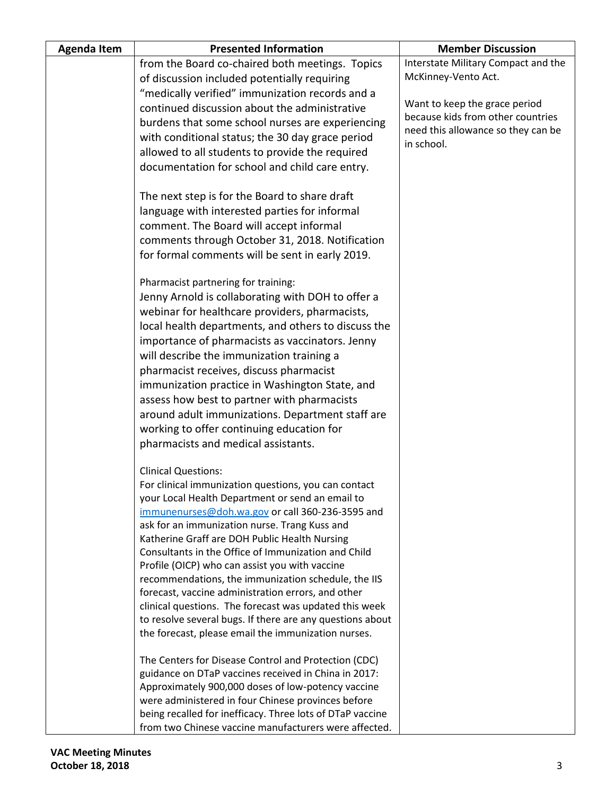| <b>Agenda Item</b> | <b>Presented Information</b>                                                                                     | <b>Member Discussion</b>                         |
|--------------------|------------------------------------------------------------------------------------------------------------------|--------------------------------------------------|
|                    | from the Board co-chaired both meetings. Topics                                                                  | Interstate Military Compact and the              |
|                    | of discussion included potentially requiring                                                                     | McKinney-Vento Act.                              |
|                    | "medically verified" immunization records and a                                                                  |                                                  |
|                    | continued discussion about the administrative                                                                    | Want to keep the grace period                    |
|                    | burdens that some school nurses are experiencing                                                                 | because kids from other countries                |
|                    | with conditional status; the 30 day grace period                                                                 | need this allowance so they can be<br>in school. |
|                    | allowed to all students to provide the required                                                                  |                                                  |
|                    | documentation for school and child care entry.                                                                   |                                                  |
|                    | The next step is for the Board to share draft                                                                    |                                                  |
|                    | language with interested parties for informal                                                                    |                                                  |
|                    | comment. The Board will accept informal                                                                          |                                                  |
|                    | comments through October 31, 2018. Notification                                                                  |                                                  |
|                    | for formal comments will be sent in early 2019.                                                                  |                                                  |
|                    | Pharmacist partnering for training:                                                                              |                                                  |
|                    | Jenny Arnold is collaborating with DOH to offer a                                                                |                                                  |
|                    | webinar for healthcare providers, pharmacists,                                                                   |                                                  |
|                    | local health departments, and others to discuss the                                                              |                                                  |
|                    | importance of pharmacists as vaccinators. Jenny                                                                  |                                                  |
|                    | will describe the immunization training a                                                                        |                                                  |
|                    | pharmacist receives, discuss pharmacist                                                                          |                                                  |
|                    | immunization practice in Washington State, and                                                                   |                                                  |
|                    | assess how best to partner with pharmacists<br>around adult immunizations. Department staff are                  |                                                  |
|                    | working to offer continuing education for                                                                        |                                                  |
|                    | pharmacists and medical assistants.                                                                              |                                                  |
|                    |                                                                                                                  |                                                  |
|                    | <b>Clinical Questions:</b>                                                                                       |                                                  |
|                    | For clinical immunization questions, you can contact                                                             |                                                  |
|                    | your Local Health Department or send an email to<br>immunenurses@doh.wa.gov or call 360-236-3595 and             |                                                  |
|                    | ask for an immunization nurse. Trang Kuss and                                                                    |                                                  |
|                    | Katherine Graff are DOH Public Health Nursing                                                                    |                                                  |
|                    | Consultants in the Office of Immunization and Child                                                              |                                                  |
|                    | Profile (OICP) who can assist you with vaccine                                                                   |                                                  |
|                    | recommendations, the immunization schedule, the IIS                                                              |                                                  |
|                    | forecast, vaccine administration errors, and other                                                               |                                                  |
|                    | clinical questions. The forecast was updated this week                                                           |                                                  |
|                    | to resolve several bugs. If there are any questions about<br>the forecast, please email the immunization nurses. |                                                  |
|                    |                                                                                                                  |                                                  |
|                    | The Centers for Disease Control and Protection (CDC)                                                             |                                                  |
|                    | guidance on DTaP vaccines received in China in 2017:                                                             |                                                  |
|                    | Approximately 900,000 doses of low-potency vaccine<br>were administered in four Chinese provinces before         |                                                  |
|                    | being recalled for inefficacy. Three lots of DTaP vaccine                                                        |                                                  |
|                    | from two Chinese vaccine manufacturers were affected.                                                            |                                                  |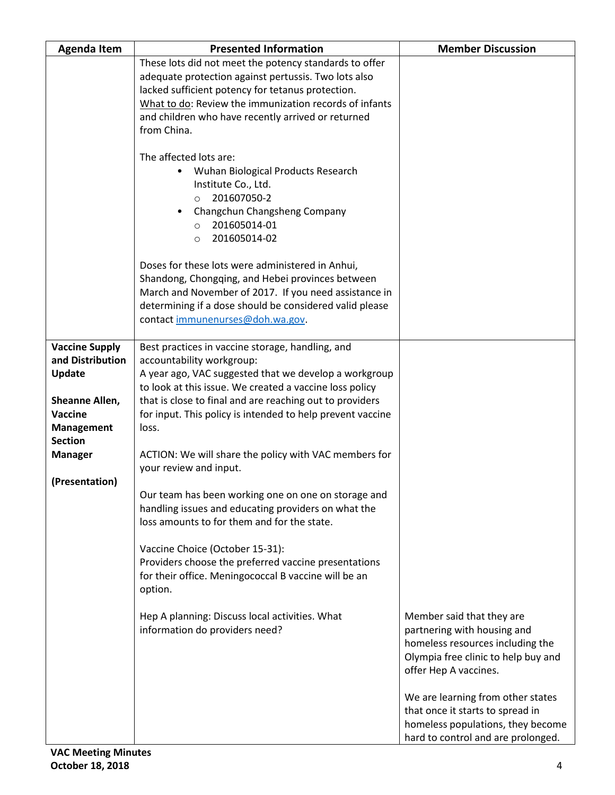| <b>Agenda Item</b>                                                                                                             | <b>Presented Information</b>                                                                                                                                                                                                                                                                                                            | <b>Member Discussion</b>                                                                                                                                                                                       |
|--------------------------------------------------------------------------------------------------------------------------------|-----------------------------------------------------------------------------------------------------------------------------------------------------------------------------------------------------------------------------------------------------------------------------------------------------------------------------------------|----------------------------------------------------------------------------------------------------------------------------------------------------------------------------------------------------------------|
|                                                                                                                                | These lots did not meet the potency standards to offer<br>adequate protection against pertussis. Two lots also<br>lacked sufficient potency for tetanus protection.<br>What to do: Review the immunization records of infants<br>and children who have recently arrived or returned<br>from China.                                      |                                                                                                                                                                                                                |
|                                                                                                                                | The affected lots are:<br>Wuhan Biological Products Research<br>$\bullet$<br>Institute Co., Ltd.<br>201607050-2<br>$\circ$<br>Changchun Changsheng Company<br>201605014-01<br>$\circ$<br>201605014-02<br>$\circ$                                                                                                                        |                                                                                                                                                                                                                |
|                                                                                                                                | Doses for these lots were administered in Anhui,<br>Shandong, Chongqing, and Hebei provinces between<br>March and November of 2017. If you need assistance in<br>determining if a dose should be considered valid please<br>contact immunenurses@doh.wa.gov.                                                                            |                                                                                                                                                                                                                |
| <b>Vaccine Supply</b><br>and Distribution<br><b>Update</b><br>Sheanne Allen,<br>Vaccine<br><b>Management</b><br><b>Section</b> | Best practices in vaccine storage, handling, and<br>accountability workgroup:<br>A year ago, VAC suggested that we develop a workgroup<br>to look at this issue. We created a vaccine loss policy<br>that is close to final and are reaching out to providers<br>for input. This policy is intended to help prevent vaccine<br>loss.    |                                                                                                                                                                                                                |
| <b>Manager</b><br>(Presentation)                                                                                               | ACTION: We will share the policy with VAC members for<br>your review and input.<br>Our team has been working one on one on storage and<br>handling issues and educating providers on what the<br>loss amounts to for them and for the state.<br>Vaccine Choice (October 15-31):<br>Providers choose the preferred vaccine presentations |                                                                                                                                                                                                                |
|                                                                                                                                | for their office. Meningococcal B vaccine will be an<br>option.<br>Hep A planning: Discuss local activities. What<br>information do providers need?                                                                                                                                                                                     | Member said that they are<br>partnering with housing and                                                                                                                                                       |
|                                                                                                                                |                                                                                                                                                                                                                                                                                                                                         | homeless resources including the<br>Olympia free clinic to help buy and<br>offer Hep A vaccines.<br>We are learning from other states<br>that once it starts to spread in<br>homeless populations, they become |
|                                                                                                                                |                                                                                                                                                                                                                                                                                                                                         | hard to control and are prolonged.                                                                                                                                                                             |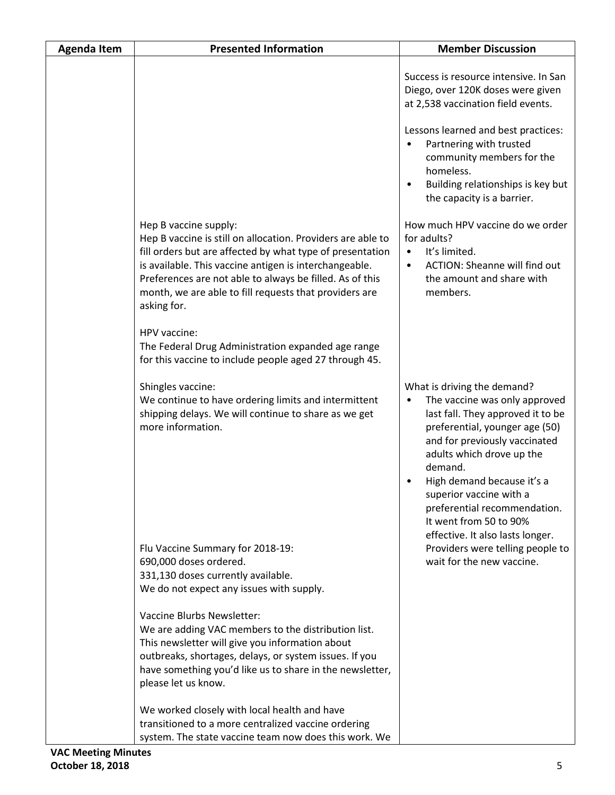| <b>Agenda Item</b> | <b>Presented Information</b>                                                                                                                                                                                                                                                                                                                     | <b>Member Discussion</b>                                                                                                                                                                                                                                                                                                                          |
|--------------------|--------------------------------------------------------------------------------------------------------------------------------------------------------------------------------------------------------------------------------------------------------------------------------------------------------------------------------------------------|---------------------------------------------------------------------------------------------------------------------------------------------------------------------------------------------------------------------------------------------------------------------------------------------------------------------------------------------------|
|                    |                                                                                                                                                                                                                                                                                                                                                  | Success is resource intensive. In San<br>Diego, over 120K doses were given<br>at 2,538 vaccination field events.                                                                                                                                                                                                                                  |
|                    |                                                                                                                                                                                                                                                                                                                                                  | Lessons learned and best practices:<br>Partnering with trusted<br>$\bullet$<br>community members for the<br>homeless.<br>Building relationships is key but<br>$\bullet$<br>the capacity is a barrier.                                                                                                                                             |
|                    | Hep B vaccine supply:<br>Hep B vaccine is still on allocation. Providers are able to<br>fill orders but are affected by what type of presentation<br>is available. This vaccine antigen is interchangeable.<br>Preferences are not able to always be filled. As of this<br>month, we are able to fill requests that providers are<br>asking for. | How much HPV vaccine do we order<br>for adults?<br>It's limited.<br>$\bullet$<br><b>ACTION: Sheanne will find out</b><br>$\bullet$<br>the amount and share with<br>members.                                                                                                                                                                       |
|                    | HPV vaccine:<br>The Federal Drug Administration expanded age range<br>for this vaccine to include people aged 27 through 45.                                                                                                                                                                                                                     |                                                                                                                                                                                                                                                                                                                                                   |
|                    | Shingles vaccine:<br>We continue to have ordering limits and intermittent<br>shipping delays. We will continue to share as we get<br>more information.                                                                                                                                                                                           | What is driving the demand?<br>The vaccine was only approved<br>$\bullet$<br>last fall. They approved it to be<br>preferential, younger age (50)<br>and for previously vaccinated<br>adults which drove up the<br>demand.<br>High demand because it's a<br>٠<br>superior vaccine with a<br>preferential recommendation.<br>It went from 50 to 90% |
|                    | Flu Vaccine Summary for 2018-19:<br>690,000 doses ordered.<br>331,130 doses currently available.<br>We do not expect any issues with supply.                                                                                                                                                                                                     | effective. It also lasts longer.<br>Providers were telling people to<br>wait for the new vaccine.                                                                                                                                                                                                                                                 |
|                    | Vaccine Blurbs Newsletter:<br>We are adding VAC members to the distribution list.<br>This newsletter will give you information about<br>outbreaks, shortages, delays, or system issues. If you<br>have something you'd like us to share in the newsletter,<br>please let us know.                                                                |                                                                                                                                                                                                                                                                                                                                                   |
|                    | We worked closely with local health and have<br>transitioned to a more centralized vaccine ordering<br>system. The state vaccine team now does this work. We                                                                                                                                                                                     |                                                                                                                                                                                                                                                                                                                                                   |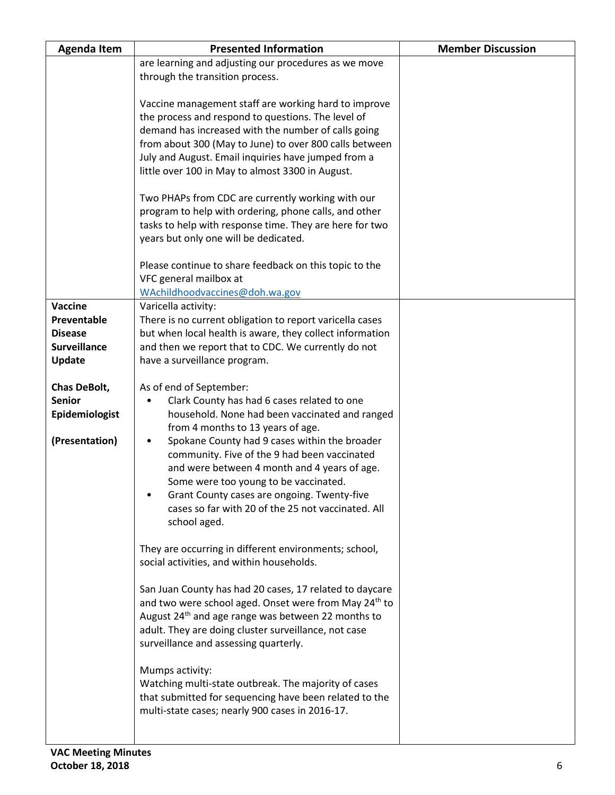| <b>Agenda Item</b>  | <b>Presented Information</b>                                      | <b>Member Discussion</b> |
|---------------------|-------------------------------------------------------------------|--------------------------|
|                     | are learning and adjusting our procedures as we move              |                          |
|                     | through the transition process.                                   |                          |
|                     |                                                                   |                          |
|                     | Vaccine management staff are working hard to improve              |                          |
|                     | the process and respond to questions. The level of                |                          |
|                     | demand has increased with the number of calls going               |                          |
|                     | from about 300 (May to June) to over 800 calls between            |                          |
|                     | July and August. Email inquiries have jumped from a               |                          |
|                     | little over 100 in May to almost 3300 in August.                  |                          |
|                     | Two PHAPs from CDC are currently working with our                 |                          |
|                     | program to help with ordering, phone calls, and other             |                          |
|                     | tasks to help with response time. They are here for two           |                          |
|                     | years but only one will be dedicated.                             |                          |
|                     | Please continue to share feedback on this topic to the            |                          |
|                     | VFC general mailbox at                                            |                          |
|                     | WAchildhoodvaccines@doh.wa.gov                                    |                          |
| <b>Vaccine</b>      | Varicella activity:                                               |                          |
| Preventable         | There is no current obligation to report varicella cases          |                          |
| <b>Disease</b>      | but when local health is aware, they collect information          |                          |
| <b>Surveillance</b> | and then we report that to CDC. We currently do not               |                          |
| <b>Update</b>       | have a surveillance program.                                      |                          |
| Chas DeBolt,        | As of end of September:                                           |                          |
| <b>Senior</b>       | Clark County has had 6 cases related to one<br>٠                  |                          |
| Epidemiologist      | household. None had been vaccinated and ranged                    |                          |
|                     | from 4 months to 13 years of age.                                 |                          |
| (Presentation)      | Spokane County had 9 cases within the broader<br>$\bullet$        |                          |
|                     | community. Five of the 9 had been vaccinated                      |                          |
|                     | and were between 4 month and 4 years of age.                      |                          |
|                     | Some were too young to be vaccinated.                             |                          |
|                     | Grant County cases are ongoing. Twenty-five                       |                          |
|                     | cases so far with 20 of the 25 not vaccinated. All                |                          |
|                     | school aged.                                                      |                          |
|                     | They are occurring in different environments; school,             |                          |
|                     | social activities, and within households.                         |                          |
|                     |                                                                   |                          |
|                     | San Juan County has had 20 cases, 17 related to daycare           |                          |
|                     | and two were school aged. Onset were from May 24 <sup>th</sup> to |                          |
|                     | August 24 <sup>th</sup> and age range was between 22 months to    |                          |
|                     | adult. They are doing cluster surveillance, not case              |                          |
|                     | surveillance and assessing quarterly.                             |                          |
|                     | Mumps activity:                                                   |                          |
|                     | Watching multi-state outbreak. The majority of cases              |                          |
|                     | that submitted for sequencing have been related to the            |                          |
|                     | multi-state cases; nearly 900 cases in 2016-17.                   |                          |
|                     |                                                                   |                          |
|                     |                                                                   |                          |
|                     |                                                                   |                          |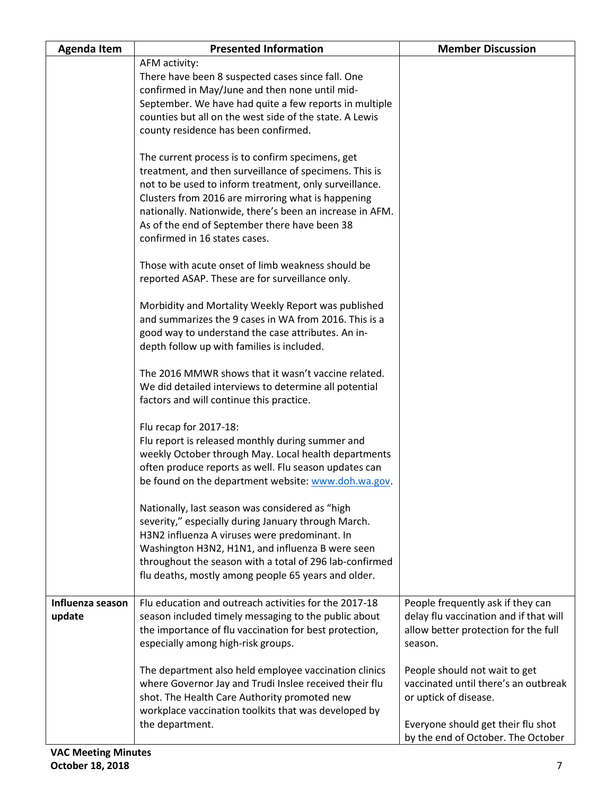| <b>Agenda Item</b>         | <b>Presented Information</b>                                                                                                                                                                                                                                                                                                                                             | <b>Member Discussion</b>                                                                                                             |
|----------------------------|--------------------------------------------------------------------------------------------------------------------------------------------------------------------------------------------------------------------------------------------------------------------------------------------------------------------------------------------------------------------------|--------------------------------------------------------------------------------------------------------------------------------------|
|                            | AFM activity:<br>There have been 8 suspected cases since fall. One<br>confirmed in May/June and then none until mid-<br>September. We have had quite a few reports in multiple<br>counties but all on the west side of the state. A Lewis<br>county residence has been confirmed.                                                                                        |                                                                                                                                      |
|                            | The current process is to confirm specimens, get<br>treatment, and then surveillance of specimens. This is<br>not to be used to inform treatment, only surveillance.<br>Clusters from 2016 are mirroring what is happening<br>nationally. Nationwide, there's been an increase in AFM.<br>As of the end of September there have been 38<br>confirmed in 16 states cases. |                                                                                                                                      |
|                            | Those with acute onset of limb weakness should be<br>reported ASAP. These are for surveillance only.                                                                                                                                                                                                                                                                     |                                                                                                                                      |
|                            | Morbidity and Mortality Weekly Report was published<br>and summarizes the 9 cases in WA from 2016. This is a<br>good way to understand the case attributes. An in-<br>depth follow up with families is included.                                                                                                                                                         |                                                                                                                                      |
|                            | The 2016 MMWR shows that it wasn't vaccine related.<br>We did detailed interviews to determine all potential<br>factors and will continue this practice.                                                                                                                                                                                                                 |                                                                                                                                      |
|                            | Flu recap for 2017-18:<br>Flu report is released monthly during summer and<br>weekly October through May. Local health departments<br>often produce reports as well. Flu season updates can<br>be found on the department website: www.doh.wa.gov.                                                                                                                       |                                                                                                                                      |
|                            | Nationally, last season was considered as "high<br>severity," especially during January through March.<br>H3N2 influenza A viruses were predominant. In<br>Washington H3N2, H1N1, and influenza B were seen<br>throughout the season with a total of 296 lab-confirmed<br>flu deaths, mostly among people 65 years and older.                                            |                                                                                                                                      |
| Influenza season<br>update | Flu education and outreach activities for the 2017-18<br>season included timely messaging to the public about<br>the importance of flu vaccination for best protection,<br>especially among high-risk groups.                                                                                                                                                            | People frequently ask if they can<br>delay flu vaccination and if that will<br>allow better protection for the full<br>season.       |
|                            | The department also held employee vaccination clinics<br>where Governor Jay and Trudi Inslee received their flu<br>shot. The Health Care Authority promoted new<br>workplace vaccination toolkits that was developed by<br>the department.                                                                                                                               | People should not wait to get<br>vaccinated until there's an outbreak<br>or uptick of disease.<br>Everyone should get their flu shot |
| VAC Mooting Minutes        |                                                                                                                                                                                                                                                                                                                                                                          | by the end of October. The October                                                                                                   |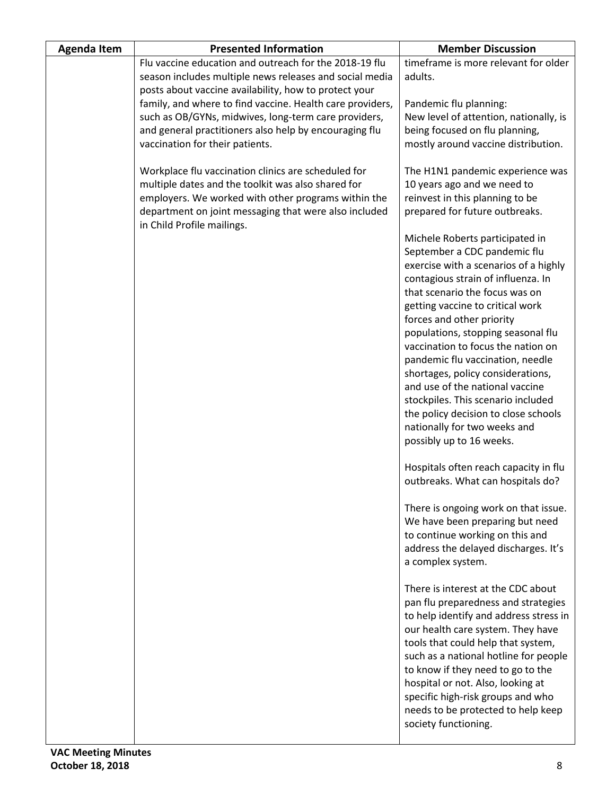| <b>Agenda Item</b> | <b>Presented Information</b>                                                                                                                                                                                                                                                                                                                                                                 | <b>Member Discussion</b>                                                                                                                                                                                                                                                                                                                                                                                                                                                                                                                                                            |
|--------------------|----------------------------------------------------------------------------------------------------------------------------------------------------------------------------------------------------------------------------------------------------------------------------------------------------------------------------------------------------------------------------------------------|-------------------------------------------------------------------------------------------------------------------------------------------------------------------------------------------------------------------------------------------------------------------------------------------------------------------------------------------------------------------------------------------------------------------------------------------------------------------------------------------------------------------------------------------------------------------------------------|
|                    | Flu vaccine education and outreach for the 2018-19 flu<br>season includes multiple news releases and social media<br>posts about vaccine availability, how to protect your<br>family, and where to find vaccine. Health care providers,<br>such as OB/GYNs, midwives, long-term care providers,<br>and general practitioners also help by encouraging flu<br>vaccination for their patients. | timeframe is more relevant for older<br>adults.<br>Pandemic flu planning:<br>New level of attention, nationally, is<br>being focused on flu planning,<br>mostly around vaccine distribution.                                                                                                                                                                                                                                                                                                                                                                                        |
|                    | Workplace flu vaccination clinics are scheduled for<br>multiple dates and the toolkit was also shared for<br>employers. We worked with other programs within the<br>department on joint messaging that were also included<br>in Child Profile mailings.                                                                                                                                      | The H1N1 pandemic experience was<br>10 years ago and we need to<br>reinvest in this planning to be<br>prepared for future outbreaks.                                                                                                                                                                                                                                                                                                                                                                                                                                                |
|                    |                                                                                                                                                                                                                                                                                                                                                                                              | Michele Roberts participated in<br>September a CDC pandemic flu<br>exercise with a scenarios of a highly<br>contagious strain of influenza. In<br>that scenario the focus was on<br>getting vaccine to critical work<br>forces and other priority<br>populations, stopping seasonal flu<br>vaccination to focus the nation on<br>pandemic flu vaccination, needle<br>shortages, policy considerations,<br>and use of the national vaccine<br>stockpiles. This scenario included<br>the policy decision to close schools<br>nationally for two weeks and<br>possibly up to 16 weeks. |
|                    |                                                                                                                                                                                                                                                                                                                                                                                              | Hospitals often reach capacity in flu<br>outbreaks. What can hospitals do?                                                                                                                                                                                                                                                                                                                                                                                                                                                                                                          |
|                    |                                                                                                                                                                                                                                                                                                                                                                                              | There is ongoing work on that issue.<br>We have been preparing but need<br>to continue working on this and<br>address the delayed discharges. It's<br>a complex system.                                                                                                                                                                                                                                                                                                                                                                                                             |
|                    |                                                                                                                                                                                                                                                                                                                                                                                              | There is interest at the CDC about<br>pan flu preparedness and strategies<br>to help identify and address stress in<br>our health care system. They have<br>tools that could help that system,<br>such as a national hotline for people<br>to know if they need to go to the<br>hospital or not. Also, looking at<br>specific high-risk groups and who<br>needs to be protected to help keep<br>society functioning.                                                                                                                                                                |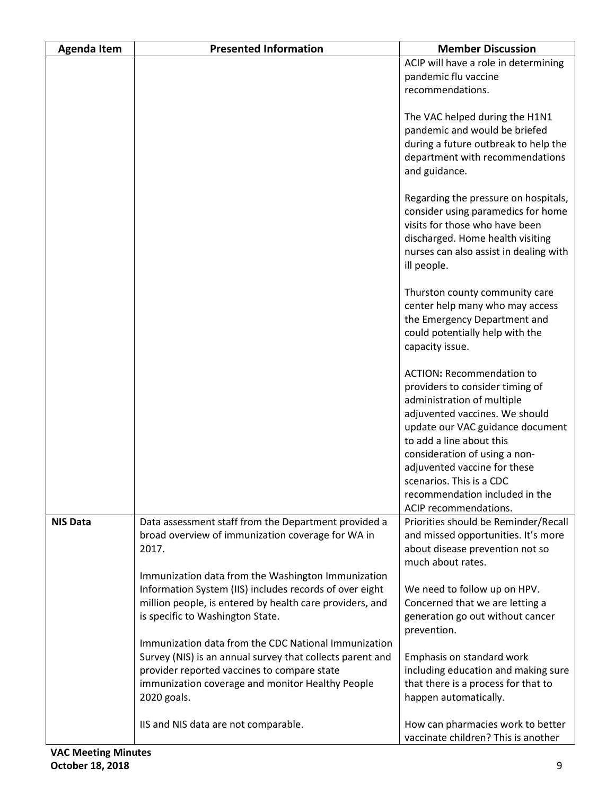| <b>Agenda Item</b> | <b>Presented Information</b>                                                                                                                                                                                                        | <b>Member Discussion</b>                                                                                                                                                                                                                                                                                                                                    |
|--------------------|-------------------------------------------------------------------------------------------------------------------------------------------------------------------------------------------------------------------------------------|-------------------------------------------------------------------------------------------------------------------------------------------------------------------------------------------------------------------------------------------------------------------------------------------------------------------------------------------------------------|
|                    |                                                                                                                                                                                                                                     | ACIP will have a role in determining<br>pandemic flu vaccine<br>recommendations.                                                                                                                                                                                                                                                                            |
|                    |                                                                                                                                                                                                                                     | The VAC helped during the H1N1<br>pandemic and would be briefed<br>during a future outbreak to help the<br>department with recommendations<br>and guidance.                                                                                                                                                                                                 |
|                    |                                                                                                                                                                                                                                     | Regarding the pressure on hospitals,<br>consider using paramedics for home<br>visits for those who have been<br>discharged. Home health visiting<br>nurses can also assist in dealing with<br>ill people.                                                                                                                                                   |
|                    |                                                                                                                                                                                                                                     | Thurston county community care<br>center help many who may access<br>the Emergency Department and<br>could potentially help with the<br>capacity issue.                                                                                                                                                                                                     |
|                    |                                                                                                                                                                                                                                     | <b>ACTION: Recommendation to</b><br>providers to consider timing of<br>administration of multiple<br>adjuvented vaccines. We should<br>update our VAC guidance document<br>to add a line about this<br>consideration of using a non-<br>adjuvented vaccine for these<br>scenarios. This is a CDC<br>recommendation included in the<br>ACIP recommendations. |
| <b>NIS Data</b>    | Data assessment staff from the Department provided a<br>broad overview of immunization coverage for WA in<br>2017.<br>Immunization data from the Washington Immunization                                                            | Priorities should be Reminder/Recall<br>and missed opportunities. It's more<br>about disease prevention not so<br>much about rates.                                                                                                                                                                                                                         |
|                    | Information System (IIS) includes records of over eight<br>million people, is entered by health care providers, and<br>is specific to Washington State.                                                                             | We need to follow up on HPV.<br>Concerned that we are letting a<br>generation go out without cancer<br>prevention.                                                                                                                                                                                                                                          |
|                    | Immunization data from the CDC National Immunization<br>Survey (NIS) is an annual survey that collects parent and<br>provider reported vaccines to compare state<br>immunization coverage and monitor Healthy People<br>2020 goals. | Emphasis on standard work<br>including education and making sure<br>that there is a process for that to<br>happen automatically.                                                                                                                                                                                                                            |
|                    | IIS and NIS data are not comparable.                                                                                                                                                                                                | How can pharmacies work to better<br>vaccinate children? This is another                                                                                                                                                                                                                                                                                    |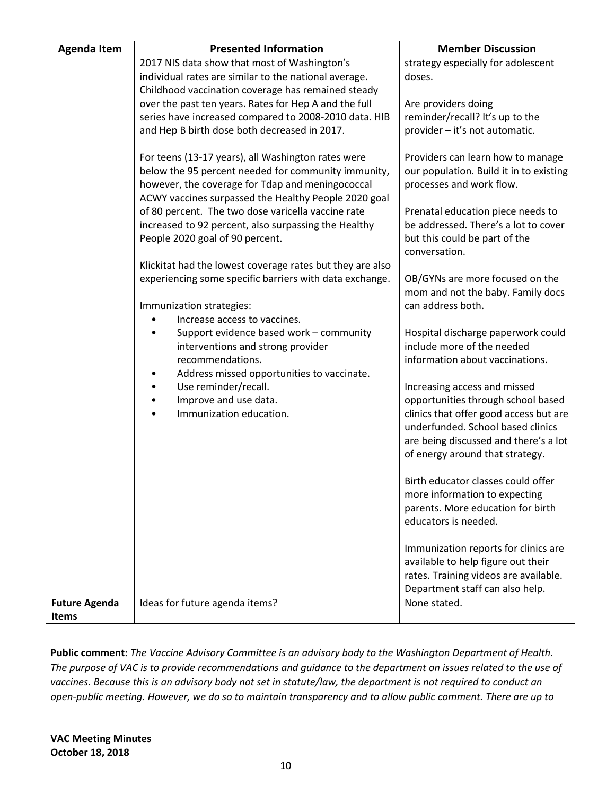| <b>Agenda Item</b>   | <b>Presented Information</b>                              | <b>Member Discussion</b>                       |
|----------------------|-----------------------------------------------------------|------------------------------------------------|
|                      | 2017 NIS data show that most of Washington's              | strategy especially for adolescent             |
|                      | individual rates are similar to the national average.     | doses.                                         |
|                      | Childhood vaccination coverage has remained steady        |                                                |
|                      | over the past ten years. Rates for Hep A and the full     | Are providers doing                            |
|                      | series have increased compared to 2008-2010 data. HIB     | reminder/recall? It's up to the                |
|                      | and Hep B birth dose both decreased in 2017.              | provider - it's not automatic.                 |
|                      | For teens (13-17 years), all Washington rates were        | Providers can learn how to manage              |
|                      | below the 95 percent needed for community immunity,       | our population. Build it in to existing        |
|                      | however, the coverage for Tdap and meningococcal          | processes and work flow.                       |
|                      | ACWY vaccines surpassed the Healthy People 2020 goal      |                                                |
|                      | of 80 percent. The two dose varicella vaccine rate        | Prenatal education piece needs to              |
|                      | increased to 92 percent, also surpassing the Healthy      | be addressed. There's a lot to cover           |
|                      | People 2020 goal of 90 percent.                           | but this could be part of the<br>conversation. |
|                      | Klickitat had the lowest coverage rates but they are also |                                                |
|                      | experiencing some specific barriers with data exchange.   | OB/GYNs are more focused on the                |
|                      |                                                           | mom and not the baby. Family docs              |
|                      | Immunization strategies:                                  | can address both.                              |
|                      | Increase access to vaccines.                              |                                                |
|                      | Support evidence based work - community                   | Hospital discharge paperwork could             |
|                      | interventions and strong provider                         | include more of the needed                     |
|                      | recommendations.                                          | information about vaccinations.                |
|                      | Address missed opportunities to vaccinate.                |                                                |
|                      | Use reminder/recall.<br>$\bullet$                         | Increasing access and missed                   |
|                      | Improve and use data.<br>$\bullet$                        | opportunities through school based             |
|                      | Immunization education.<br>$\bullet$                      | clinics that offer good access but are         |
|                      |                                                           | underfunded. School based clinics              |
|                      |                                                           | are being discussed and there's a lot          |
|                      |                                                           | of energy around that strategy.                |
|                      |                                                           | Birth educator classes could offer             |
|                      |                                                           | more information to expecting                  |
|                      |                                                           | parents. More education for birth              |
|                      |                                                           | educators is needed.                           |
|                      |                                                           |                                                |
|                      |                                                           | Immunization reports for clinics are           |
|                      |                                                           | available to help figure out their             |
|                      |                                                           | rates. Training videos are available.          |
|                      |                                                           | Department staff can also help.                |
| <b>Future Agenda</b> | Ideas for future agenda items?                            | None stated.                                   |
| <b>Items</b>         |                                                           |                                                |

**Public comment:** *The Vaccine Advisory Committee is an advisory body to the Washington Department of Health. The purpose of VAC is to provide recommendations and guidance to the department on issues related to the use of vaccines. Because this is an advisory body not set in statute/law, the department is not required to conduct an open-public meeting. However, we do so to maintain transparency and to allow public comment. There are up to*